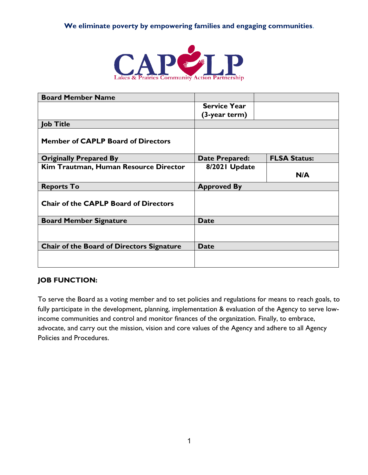# **We eliminate poverty by empowering families and engaging communities**.



| <b>Board Member Name</b>                     |                       |                     |
|----------------------------------------------|-----------------------|---------------------|
|                                              | <b>Service Year</b>   |                     |
|                                              | (3-year term)         |                     |
| <b>Job Title</b>                             |                       |                     |
| <b>Member of CAPLP Board of Directors</b>    |                       |                     |
| <b>Originally Prepared By</b>                | <b>Date Prepared:</b> | <b>FLSA Status:</b> |
| Kim Trautman, Human Resource Director        | 8/2021 Update         |                     |
|                                              |                       | N/A                 |
| <b>Reports To</b>                            | <b>Approved By</b>    |                     |
| <b>Chair of the CAPLP Board of Directors</b> |                       |                     |
| <b>Board Member Signature</b>                | <b>Date</b>           |                     |
|                                              |                       |                     |
| Chair of the Board of Directors Signature    | <b>Date</b>           |                     |
|                                              |                       |                     |

#### **JOB FUNCTION:**

To serve the Board as a voting member and to set policies and regulations for means to reach goals, to fully participate in the development, planning, implementation & evaluation of the Agency to serve lowincome communities and control and monitor finances of the organization. Finally, to embrace, advocate, and carry out the mission, vision and core values of the Agency and adhere to all Agency Policies and Procedures.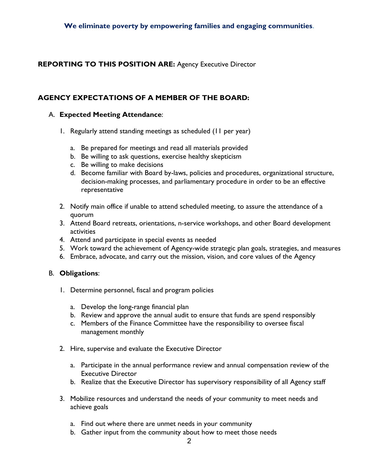# **REPORTING TO THIS POSITION ARE:** Agency Executive Director

# **AGENCY EXPECTATIONS OF A MEMBER OF THE BOARD:**

#### A. **Expected Meeting Attendance**:

- 1. Regularly attend standing meetings as scheduled (11 per year)
	- a. Be prepared for meetings and read all materials provided
	- b. Be willing to ask questions, exercise healthy skepticism
	- c. Be willing to make decisions
	- d. Become familiar with Board by-laws, policies and procedures, organizational structure, decision-making processes, and parliamentary procedure in order to be an effective representative
- 2. Notify main office if unable to attend scheduled meeting, to assure the attendance of a quorum
- 3. Attend Board retreats, orientations, n-service workshops, and other Board development activities
- 4. Attend and participate in special events as needed
- 5. Work toward the achievement of Agency-wide strategic plan goals, strategies, and measures
- 6. Embrace, advocate, and carry out the mission, vision, and core values of the Agency

# B. **Obligations**:

- 1. Determine personnel, fiscal and program policies
	- a. Develop the long-range financial plan
	- b. Review and approve the annual audit to ensure that funds are spend responsibly
	- c. Members of the Finance Committee have the responsibility to oversee fiscal management monthly
- 2. Hire, supervise and evaluate the Executive Director
	- a. Participate in the annual performance review and annual compensation review of the Executive Director
	- b. Realize that the Executive Director has supervisory responsibility of all Agency staff
- 3. Mobilize resources and understand the needs of your community to meet needs and achieve goals
	- a. Find out where there are unmet needs in your community
	- b. Gather input from the community about how to meet those needs